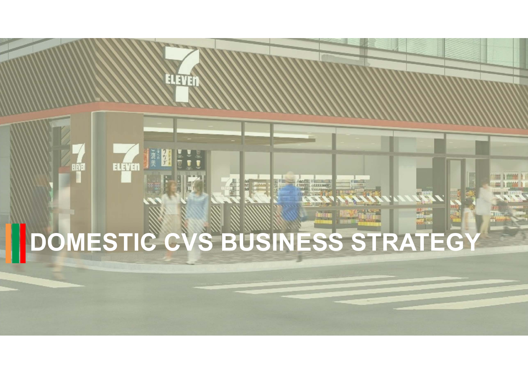# **DOMESTIC CVS BUSINESS STRATEGY**

**ELEVEN** 

ELEVEN JA

極秘 S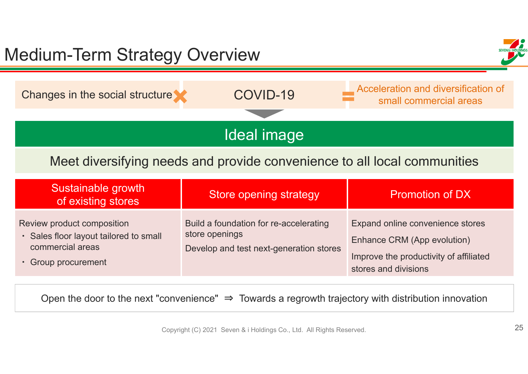| <b>Medium-Term Strategy Overview</b>                                                                             |                                                                                                     |                                                                                                                                   |  |  |  |  |
|------------------------------------------------------------------------------------------------------------------|-----------------------------------------------------------------------------------------------------|-----------------------------------------------------------------------------------------------------------------------------------|--|--|--|--|
| Changes in the social structure                                                                                  | COVID-19                                                                                            | Acceleration and diversification of<br>small commercial areas                                                                     |  |  |  |  |
| Ideal image                                                                                                      |                                                                                                     |                                                                                                                                   |  |  |  |  |
| Meet diversifying needs and provide convenience to all local communities                                         |                                                                                                     |                                                                                                                                   |  |  |  |  |
| Sustainable growth<br>of existing stores                                                                         | <b>Store opening strategy</b>                                                                       | <b>Promotion of DX</b>                                                                                                            |  |  |  |  |
| Review product composition<br>· Sales floor layout tailored to small<br>commercial areas<br>• Group procurement  | Build a foundation for re-accelerating<br>store openings<br>Develop and test next-generation stores | Expand online convenience stores<br>Enhance CRM (App evolution)<br>Improve the productivity of affiliated<br>stores and divisions |  |  |  |  |
| Open the door to the next "convenience" $\Rightarrow$ Towards a regrowth trajectory with distribution innovation |                                                                                                     |                                                                                                                                   |  |  |  |  |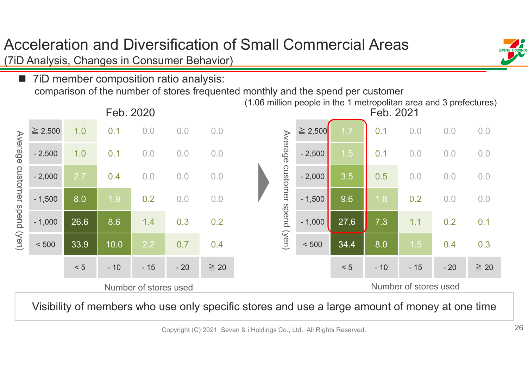# Acceleration and Diversification of Small Commercial Areas

(7iD Analysis, Changes in Consumer Behavior)

**The State**  7iD member composition ratio analysis: comparison of the number of stores frequented monthly and the spend per customer



Visibility of members who use only specific stores and use a large amount of money at one time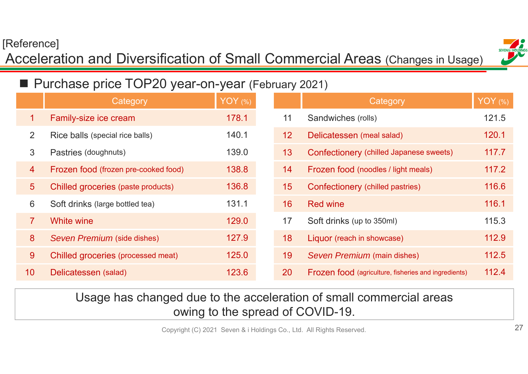## [Reference]

## Acceleration and Diversification of Small Commercial Areas (Changes in Usage)



#### $\Box$ Purchase price TOP20 year-on-year (February 2021)

|                 | Category                             | YOY $(%)$ |    | Category                                                    | <b>YOY</b> (%) |
|-----------------|--------------------------------------|-----------|----|-------------------------------------------------------------|----------------|
| 1.              | Family-size ice cream                | 178.1     | 11 | Sandwiches (rolls)                                          | 121.5          |
| 2               | Rice balls (special rice balls)      | 140.1     | 12 | Delicatessen (meal salad)                                   | 120.1          |
| 3               | Pastries (doughnuts)                 | 139.0     | 13 | Confectionery (chilled Japanese sweets)                     | 117.7          |
| $\overline{4}$  | Frozen food (frozen pre-cooked food) | 138.8     | 14 | Frozen food (noodles / light meals)                         | 117.2          |
| 5 <sup>5</sup>  | Chilled groceries (paste products)   | 136.8     | 15 | Confectionery (chilled pastries)                            | 116.6          |
| 6               | Soft drinks (large bottled tea)      | 131.1     | 16 | <b>Red wine</b>                                             | 116.1          |
| 7 <sup>1</sup>  | <b>White wine</b>                    | 129.0     | 17 | Soft drinks (up to 350ml)                                   | 115.3          |
| 8               | Seven Premium (side dishes)          | 127.9     | 18 | Liquor (reach in showcase)                                  | 112.9          |
| 9 <sup>°</sup>  | Chilled groceries (processed meat)   | 125.0     | 19 | Seven Premium (main dishes)                                 | 112.5          |
| 10 <sup>°</sup> | Delicatessen (salad)                 | 123.6     | 20 | <b>Frozen food</b> (agriculture, fisheries and ingredients) | 112.4          |

## Usage has changed due to the acceleration of small commercial areas owing to the spread of COVID-19.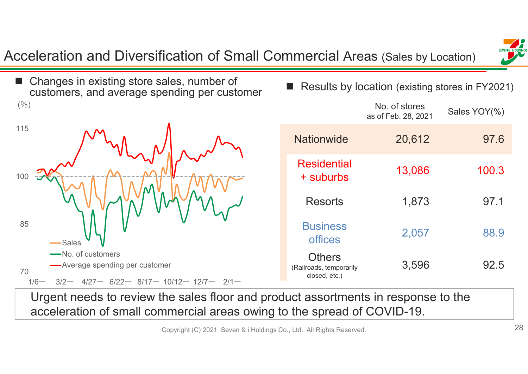Acceleration and Diversification of Small Commercial Areas (Sales by Location)





■ Results by location (existing stores in FY2021)

|                                                           | No. of stores<br>as of Feb. 28, 2021 | Sales YOY(%) |
|-----------------------------------------------------------|--------------------------------------|--------------|
| <b>Nationwide</b>                                         | 20,612                               | 97.6         |
| Residential<br>+ suburbs                                  | 13,086                               | 100.3        |
| <b>Resorts</b>                                            | 1,873                                | 97.1         |
| <b>Business</b><br><b>offices</b>                         | 2,057                                | 88.9         |
| <b>Others</b><br>(Railroads, temporarily<br>closed, etc.) | 3,596                                | 92.5         |

Urgent needs to review the sales floor and product assortments in response to the acceleration of small commercial areas owing to the spread of COVID-19.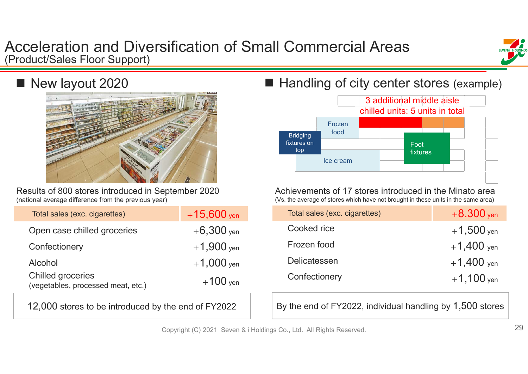## Acceleration and Diversification of Small Commercial Areas (Product/Sales Floor Support)



## New layout 2020



Results of 800 stores introduced in September 2020 (national average difference from the previous year)

| Total sales (exc. cigarettes)                                  | $+15,600$ yen |
|----------------------------------------------------------------|---------------|
| Open case chilled groceries                                    | $+6,300$ yen  |
| Confectionery                                                  | $+1,900$ yen  |
| Alcohol                                                        | $+1,000$ yen  |
| <b>Chilled groceries</b><br>(vegetables, processed meat, etc.) | $+100$ yen    |

12,000 stores to be introduced by the end of FY2022

## ■ Handling of city center stores (example)



Achievements of 17 stores introduced in the Minato area (Vs. the average of stores which have not brought in these units in the same area)

| Total sales (exc. cigarettes) | $+8.300$ yen |
|-------------------------------|--------------|
| Cooked rice                   | $+1,500$ yen |
| Frozen food                   | $+1,400$ yen |
| Delicatessen                  | $+1,400$ yen |
| Confectionery                 | $+1,100$ yen |

By the end of FY2022, individual handling by 1,500 stores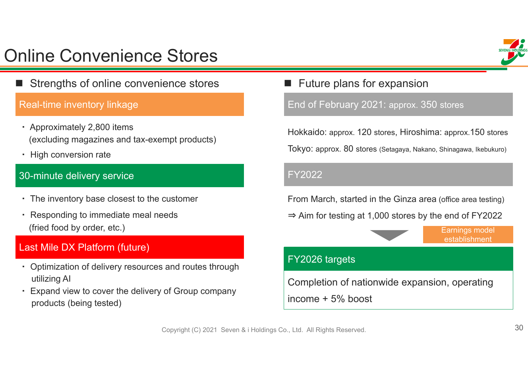# Online Convenience Stores

E Strengths of online convenience stores

#### Real-time inventory linkage

- ・ Approximately 2,800 items (excluding magazines and tax-exempt products)
- ・ High conversion rate

#### 30-minute delivery service

- ・ The inventory base closest to the customer
- ・ Responding to immediate meal needs (fried food by order, etc.)

### Last Mile DX Platform (future)

- ・ Optimization of delivery resources and routes through utilizing AI
- ・ Expand view to cover the delivery of Group company products (being tested)

## **Future plans for expansion**

End of February 2021: approx. 350 stores

Hokkaido: approx. 120 stores, Hiroshima: approx.150 stores

Tokyo: approx. 80 stores (Setagaya, Nakano, Shinagawa, Ikebukuro)

#### FY2022

From March, started in the Ginza area (office area testing)

⇒ Aim for testing at 1,000 stores by the end of FY2022

Earnings model establishment

#### FY2026 targets

Completion of nationwide expansion, operating income + 5% boost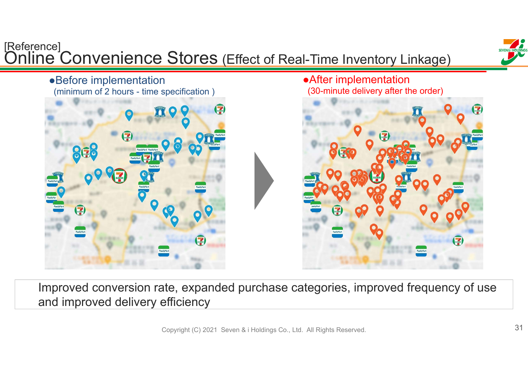

Improved conversion rate, expanded purchase categories, improved frequency of use and improved delivery efficiency